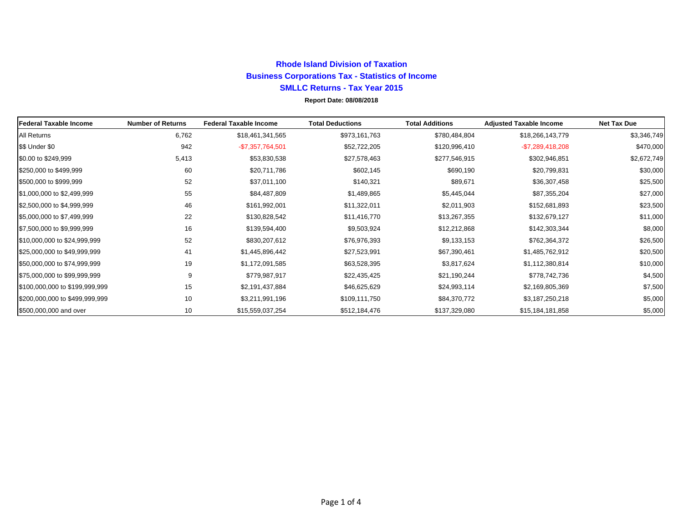#### **Rhode Island Division of Taxation Business Corporations Tax - Statistics of Income SMLLC Returns - Tax Year 2015 Report Date: 08/08/2018**

| <b>IFederal Taxable Income</b> | <b>Number of Returns</b> | <b>Federal Taxable Income</b> | <b>Total Deductions</b> | <b>Total Additions</b> | <b>Adjusted Taxable Income</b> | <b>Net Tax Due</b> |
|--------------------------------|--------------------------|-------------------------------|-------------------------|------------------------|--------------------------------|--------------------|
| All Returns                    | 6,762                    | \$18,461,341,565              | \$973,161,763           | \$780,484,804          | \$18,266,143,779               | \$3,346,749        |
| \$\$ Under \$0                 | 942                      | $-$7,357,764,501$             | \$52,722,205            | \$120,996,410          | $-$7,289,418,208$              | \$470,000          |
| \$0.00 to \$249,999            | 5,413                    | \$53,830,538                  | \$27,578,463            | \$277,546,915          | \$302,946,851                  | \$2,672,749        |
| \$250,000 to \$499,999         | 60                       | \$20,711,786                  | \$602,145               | \$690,190              | \$20,799,831                   | \$30,000           |
| \$500,000 to \$999,999         | 52                       | \$37,011,100                  | \$140,321               | \$89,671               | \$36,307,458                   | \$25,500           |
| \$1,000,000 to \$2,499,999     | 55                       | \$84,487,809                  | \$1,489,865             | \$5,445,044            | \$87,355,204                   | \$27,000           |
| \$2,500,000 to \$4,999,999     | 46                       | \$161,992,001                 | \$11,322,011            | \$2,011,903            | \$152,681,893                  | \$23,500           |
| \$5,000,000 to \$7,499,999     | 22                       | \$130,828,542                 | \$11,416,770            | \$13,267,355           | \$132,679,127                  | \$11,000           |
| \$7,500,000 to \$9,999,999     | 16                       | \$139,594,400                 | \$9,503,924             | \$12,212,868           | \$142,303,344                  | \$8,000            |
| \$10,000,000 to \$24,999,999   | 52                       | \$830,207,612                 | \$76,976,393            | \$9,133,153            | \$762,364,372                  | \$26,500           |
| \$25,000,000 to \$49,999,999   | 41                       | \$1,445,896,442               | \$27,523,991            | \$67,390,461           | \$1,485,762,912                | \$20,500           |
| \$50,000,000 to \$74,999,999   | 19                       | \$1,172,091,585               | \$63,528,395            | \$3,817,624            | \$1,112,380,814                | \$10,000           |
| \$75,000,000 to \$99,999,999   | 9                        | \$779,987,917                 | \$22,435,425            | \$21,190,244           | \$778,742,736                  | \$4,500            |
| \$100,000,000 to \$199,999,999 | 15                       | \$2,191,437,884               | \$46,625,629            | \$24,993,114           | \$2,169,805,369                | \$7,500            |
| \$200,000,000 to \$499,999,999 | 10                       | \$3,211,991,196               | \$109,111,750           | \$84,370,772           | \$3,187,250,218                | \$5,000            |
| \$500,000,000 and over         | 10                       | \$15,559,037,254              | \$512,184,476           | \$137,329,080          | \$15,184,181,858               | \$5,000            |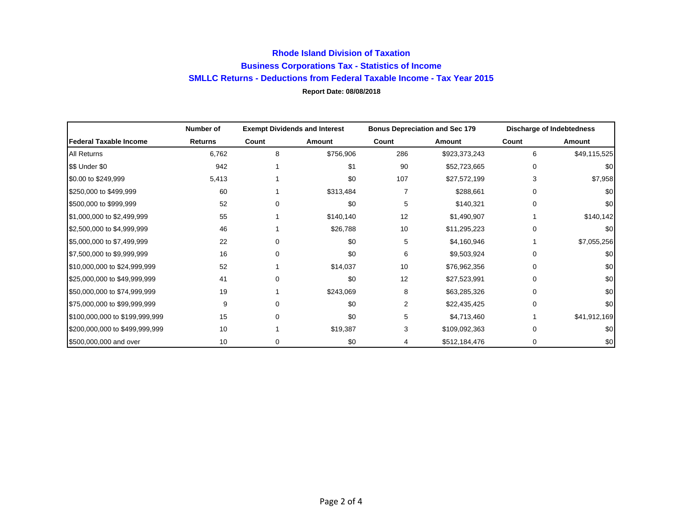### **Rhode Island Division of Taxation Business Corporations Tax - Statistics of Income SMLLC Returns - Deductions from Federal Taxable Income - Tax Year 2015 Report Date: 08/08/2018**

|                                | Number of      | <b>Exempt Dividends and Interest</b> |           | <b>Bonus Depreciation and Sec 179</b> |               | <b>Discharge of Indebtedness</b> |              |
|--------------------------------|----------------|--------------------------------------|-----------|---------------------------------------|---------------|----------------------------------|--------------|
| Federal Taxable Income         | <b>Returns</b> | Count                                | Amount    | Count                                 | Amount        | Count                            | Amount       |
| All Returns                    | 6,762          | 8                                    | \$756,906 | 286                                   | \$923,373,243 | 6                                | \$49,115,525 |
| \$\$ Under \$0                 | 942            |                                      | \$1       | 90                                    | \$52,723,665  | $\Omega$                         | \$0          |
| \$0.00 to \$249,999            | 5,413          |                                      | \$0       | 107                                   | \$27,572,199  | 3                                | \$7,958      |
| \$250,000 to \$499,999         | 60             |                                      | \$313,484 |                                       | \$288,661     | 0                                | \$0          |
| \$500,000 to \$999,999         | 52             | 0                                    | \$0       | 5                                     | \$140,321     | 0                                | \$0          |
| \$1,000,000 to \$2,499,999     | 55             |                                      | \$140,140 | 12                                    | \$1,490,907   |                                  | \$140,142    |
| \$2,500,000 to \$4,999,999     | 46             |                                      | \$26,788  | 10                                    | \$11,295,223  | 0                                | \$0          |
| \$5,000,000 to \$7,499,999     | 22             | 0                                    | \$0       | 5                                     | \$4,160,946   |                                  | \$7,055,256  |
| \$7,500,000 to \$9,999,999     | 16             | 0                                    | \$0       | 6                                     | \$9,503,924   | $\Omega$                         | \$0          |
| \$10,000,000 to \$24,999,999   | 52             |                                      | \$14,037  | 10                                    | \$76,962,356  | 0                                | \$0          |
| \$25,000,000 to \$49,999,999   | 41             | 0                                    | \$0       | 12                                    | \$27,523,991  | $\Omega$                         | \$0          |
| \$50,000,000 to \$74,999,999   | 19             |                                      | \$243,069 | 8                                     | \$63,285,326  | $\Omega$                         | \$0          |
| \$75,000,000 to \$99,999,999   | 9              | 0                                    | \$0       | 2                                     | \$22,435,425  | $\Omega$                         | \$0          |
| \$100,000,000 to \$199,999,999 | 15             | 0                                    | \$0       | 5                                     | \$4,713,460   |                                  | \$41,912,169 |
| \$200,000,000 to \$499,999,999 | 10             |                                      | \$19,387  | 3                                     | \$109,092,363 | $\Omega$                         | \$0          |
| \$500,000,000 and over         | 10             | 0                                    | \$0       | 4                                     | \$512,184,476 | $\mathbf 0$                      | \$0          |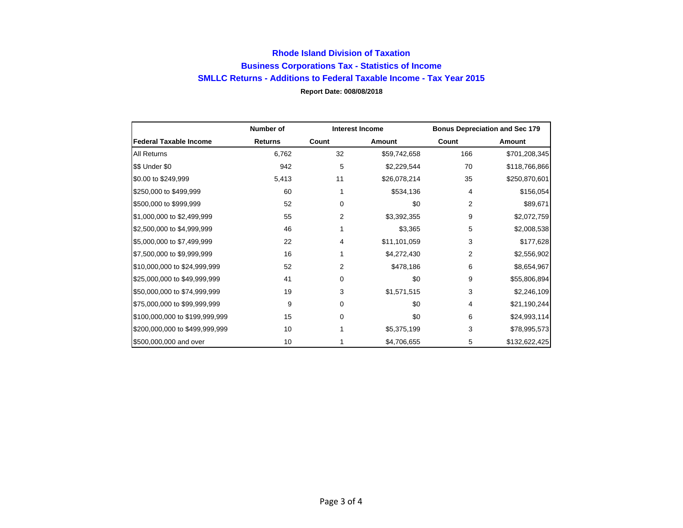### **Rhode Island Division of Taxation Business Corporations Tax - Statistics of Income SMLLC Returns - Additions to Federal Taxable Income - Tax Year 2015 Report Date: 008/08/2018**

|                                | Number of      | <b>Interest Income</b> |              | <b>Bonus Depreciation and Sec 179</b> |               |
|--------------------------------|----------------|------------------------|--------------|---------------------------------------|---------------|
| <b>Federal Taxable Income</b>  | <b>Returns</b> | Count                  | Amount       | Count                                 | Amount        |
| All Returns                    | 6,762          | 32                     | \$59,742,658 | 166                                   | \$701,208,345 |
| \$\$ Under \$0                 | 942            | 5                      | \$2,229,544  | 70                                    | \$118,766,866 |
| \$0.00 to \$249,999            | 5,413          | 11                     | \$26,078,214 | 35                                    | \$250,870,601 |
| \$250,000 to \$499,999         | 60             | 1                      | \$534,136    | 4                                     | \$156,054     |
| \$500,000 to \$999,999         | 52             | 0                      | \$0          | 2                                     | \$89,671      |
| \$1,000,000 to \$2,499,999     | 55             | 2                      | \$3,392,355  | 9                                     | \$2,072,759   |
| \$2,500,000 to \$4,999,999     | 46             |                        | \$3,365      | 5                                     | \$2,008,538   |
| \$5,000,000 to \$7,499,999     | 22             | 4                      | \$11,101,059 | 3                                     | \$177,628     |
| \$7,500,000 to \$9,999,999     | 16             |                        | \$4,272,430  | 2                                     | \$2,556,902   |
| \$10,000,000 to \$24,999,999   | 52             | $\overline{2}$         | \$478,186    | 6                                     | \$8,654,967   |
| \$25,000,000 to \$49,999,999   | 41             | 0                      | \$0          | 9                                     | \$55,806,894  |
| \$50,000,000 to \$74,999,999   | 19             | 3                      | \$1,571,515  | 3                                     | \$2,246,109   |
| \$75,000,000 to \$99,999,999   | 9              | 0                      | \$0          | 4                                     | \$21,190,244  |
| \$100,000,000 to \$199,999,999 | 15             | $\Omega$               | \$0          | 6                                     | \$24,993,114  |
| \$200,000,000 to \$499,999,999 | 10             |                        | \$5,375,199  | 3                                     | \$78,995,573  |
| \$500,000,000 and over         | 10             |                        | \$4,706,655  | 5                                     | \$132,622,425 |